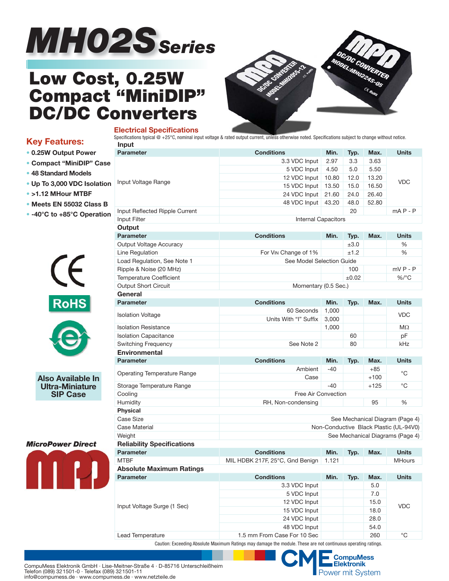

# **Low Cost, 0.25W Compact "MiniDIP" DC/DC Converters**

**Electrical Specifications** 



# **Key Features:**

- **0.25W Output Power**
- **Compact "MiniDIP" Case**
- **48 Standard Models**
- **Up To 3,000 VDC Isolation**
- **>1.12 MHour MTBF**
- **Meets EN 55032 Class B**
- **-40°C to +85°C Operation**





**Also Available In Ultra-Miniature SIP Case**

## *MicroPower Direct*



| Input                                               |                                        |       |            |        |                                  |  |  |  |  |
|-----------------------------------------------------|----------------------------------------|-------|------------|--------|----------------------------------|--|--|--|--|
| Parameter                                           | <b>Conditions</b>                      | Min.  | Typ.       | Max.   | <b>Units</b>                     |  |  |  |  |
|                                                     | 3.3 VDC Input                          | 2.97  | 3.3        | 3.63   |                                  |  |  |  |  |
|                                                     | 5 VDC Input                            | 4.50  | 5.0        | 5.50   |                                  |  |  |  |  |
| Input Voltage Range                                 | 12 VDC Input                           | 10.80 | 12.0       | 13.20  | <b>VDC</b>                       |  |  |  |  |
|                                                     | 15 VDC Input                           | 13.50 | 15.0       | 16.50  |                                  |  |  |  |  |
|                                                     | 24 VDC Input                           | 21.60 | 24.0       | 26.40  |                                  |  |  |  |  |
|                                                     | 48 VDC Input                           | 43.20 | 48.0       | 52.80  |                                  |  |  |  |  |
| Input Reflected Ripple Current                      |                                        |       | 20         |        | $mA P - P$                       |  |  |  |  |
| Input Filter                                        | Internal Capacitors                    |       |            |        |                                  |  |  |  |  |
| Output                                              |                                        |       |            |        |                                  |  |  |  |  |
| <b>Parameter</b>                                    | <b>Conditions</b>                      | Min.  | Typ.       | Max.   | <b>Units</b>                     |  |  |  |  |
| Output Voltage Accuracy                             |                                        |       | $\pm 3.0$  |        | ℅                                |  |  |  |  |
| Line Regulation                                     | For VIN Change of 1%                   |       | ±1.2       |        | %                                |  |  |  |  |
| Load Regulation, See Note 1                         | See Model Selection Guide              |       |            |        |                                  |  |  |  |  |
| Ripple & Noise (20 MHz)                             |                                        |       | 100        |        | $mVP - P$                        |  |  |  |  |
| <b>Temperature Coefficient</b>                      |                                        |       | $\pm 0.02$ |        | %/°C                             |  |  |  |  |
| <b>Output Short Circuit</b>                         | Momentary (0.5 Sec.)                   |       |            |        |                                  |  |  |  |  |
| <b>General</b>                                      |                                        |       |            |        |                                  |  |  |  |  |
| <b>Parameter</b>                                    | <b>Conditions</b>                      | Min.  | Typ.       | Max.   | <b>Units</b>                     |  |  |  |  |
|                                                     | 60 Seconds                             | 1,000 |            |        |                                  |  |  |  |  |
| <b>Isolation Voltage</b>                            | Units With "I" Suffix                  | 3,000 |            |        | <b>VDC</b>                       |  |  |  |  |
| <b>Isolation Resistance</b>                         |                                        | 1,000 |            |        | МΩ                               |  |  |  |  |
| <b>Isolation Capacitance</b>                        |                                        |       | 60         |        | pF                               |  |  |  |  |
| Switching Frequency                                 | See Note 2                             |       | 80         |        | kHz                              |  |  |  |  |
| <b>Environmental</b>                                |                                        |       |            |        |                                  |  |  |  |  |
| <b>Parameter</b>                                    | <b>Conditions</b>                      | Min.  | Typ.       | Max.   | <b>Units</b>                     |  |  |  |  |
|                                                     | Ambient                                | $-40$ |            | $+85$  | °C                               |  |  |  |  |
| <b>Operating Temperature Range</b>                  | Case                                   |       |            | $+100$ |                                  |  |  |  |  |
| Storage Temperature Range                           |                                        | $-40$ |            | $+125$ | $^{\circ}$ C                     |  |  |  |  |
| Cooling                                             | Free Air Convection                    |       |            |        |                                  |  |  |  |  |
| Humidity                                            | 95<br>%<br>RH, Non-condensing          |       |            |        |                                  |  |  |  |  |
| <b>Physical</b>                                     |                                        |       |            |        |                                  |  |  |  |  |
| <b>Case Size</b><br>See Mechanical Diagram (Page 4) |                                        |       |            |        |                                  |  |  |  |  |
| Case Material                                       | Non-Conductive Black Plastic (UL-94V0) |       |            |        |                                  |  |  |  |  |
| Weight                                              |                                        |       |            |        | See Mechanical Diagrams (Page 4) |  |  |  |  |
| <b>Reliability Specifications</b>                   |                                        |       |            |        |                                  |  |  |  |  |
| <b>Parameter</b>                                    | <b>Conditions</b>                      | Min.  | Typ.       | Max.   | <b>Units</b>                     |  |  |  |  |
| <b>MTBF</b>                                         | MIL HDBK 217F, 25°C, Gnd Benign        | 1.121 |            |        | <b>MHours</b>                    |  |  |  |  |
| <b>Absolute Maximum Ratings</b>                     |                                        |       |            |        |                                  |  |  |  |  |
| Parameter                                           | <b>Conditions</b>                      | Min.  | Typ.       | Max.   | <b>Units</b>                     |  |  |  |  |
|                                                     | 3.3 VDC Input                          |       |            | 5.0    |                                  |  |  |  |  |
|                                                     | 5 VDC Input                            |       |            | 7.0    |                                  |  |  |  |  |
|                                                     | 12 VDC Input                           |       |            | 15.0   |                                  |  |  |  |  |
| Input Voltage Surge (1 Sec)                         | 15 VDC Input<br>18.0                   |       |            |        | <b>VDC</b>                       |  |  |  |  |
|                                                     | 24 VDC Input                           | 28.0  |            |        |                                  |  |  |  |  |
|                                                     | 54.0                                   |       |            |        |                                  |  |  |  |  |
|                                                     | 48 VDC Input                           |       |            |        |                                  |  |  |  |  |

Specifications typical @ +25°C, nominal input voltage & rated output current, unless otherwise noted. Specifications subject to change without notice.

Caution: Exceeding Absolute Maximum Ratings may damage the module. These are not continuous operating ratings.

CompuMess Elektronik GmbH · Lise-Meitner-Straße 4 · D-85716 Unterschleißheim **Elektronik Elektronik** Felefon (089) 321501-0 · Telefax (089) 321501-11 **Elektronik** Elektronik Elektronik Elektronik Elektronik Elektronik Elek Telefon (089) 321501-0 · Telefax (089) 321501-11 info@compumess.de · www.compumess.de · www.netzteile.de

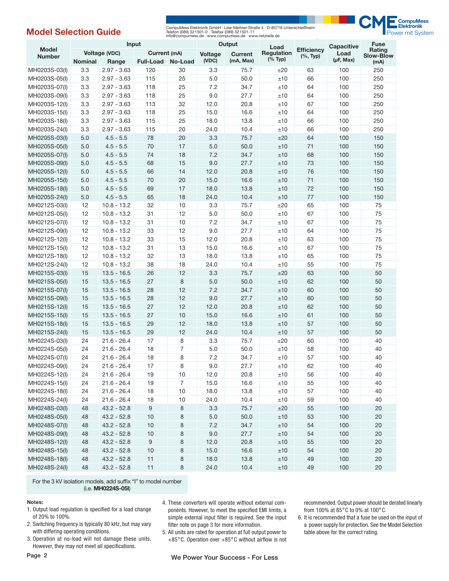# **Model Selection Guide**

CompuMess Elektronik GmbH · Lise-Meitner-Straße 4 · D-85716 Unterschleißheim<br>Telefon (089) 32:1501-0 · Telefax (089) 32:1501-11<br>info@compumess.de · www.compumess.de · www.netzteile.de



|                               | Input                         |               |                  | Output                    |         | Load              |                                   | <b>Capacitive</b> | <b>Fuse</b>                |        |
|-------------------------------|-------------------------------|---------------|------------------|---------------------------|---------|-------------------|-----------------------------------|-------------------|----------------------------|--------|
| <b>Model</b><br><b>Number</b> | Voltage (VDC)<br>Current (mA) |               |                  | Voltage<br><b>Current</b> |         | <b>Regulation</b> | <b>Efficiency</b><br>$(\%$ , Typ) | Load              | Rating<br><b>Slow-Blow</b> |        |
|                               | <b>Nominal</b>                | Range         | <b>Full-Load</b> | No-Load                   | (VDC)   | (mA, Max)         | $(%$ Typ)                         |                   | $(\mu F, Max)$             | (mA)   |
| MH0203S-03(I)                 | 3.3                           | $2.97 - 3.63$ | 120              | 30                        | 3.3     | 75.7              | ±20                               | 63                | 100                        | 250    |
| MH0203S-05(I)                 | 3.3                           | $2.97 - 3.63$ | 115              | 25                        | 5.0     | 50.0              | ±10                               | 66                | 100                        | 250    |
| MH0203S-07(I)                 | 3.3                           | $2.97 - 3.63$ | 118              | 25                        | 7.2     | 34.7              | ±10                               | 64                | 100                        | 250    |
| MH0203S-09(I)                 | 3.3                           | $2.97 - 3.63$ | 118              | 25                        | 9.0     | 27.7              | ±10                               | 64                | 100                        | 250    |
| MH0203S-12(I)                 | 3.3                           | $2.97 - 3.63$ | 113              | 32                        | 12.0    | 20.8              | ±10                               | 67                | 100                        | 250    |
| MH0203S-15(I)                 | 3.3                           | $2.97 - 3.63$ | 118              | 25                        | 15.0    | 16.6              | ±10                               | 64                | 100                        | 250    |
| MH0203S-18(I)                 | 3.3                           | $2.97 - 3.63$ | 115              | 25                        | 18.0    | 13.8              | ±10                               | 66                | 100                        | 250    |
| MH0203S-24(I)                 | 3.3                           | $2.97 - 3.63$ | 115              | 20                        | 24.0    | 10.4              | ±10                               | 66                | 100                        | 250    |
| MH0205S-03(I)                 | 5.0                           | $4.5 - 5.5$   | 78               | 20                        | 3.3     | 75.7              | ±20                               | 64                | 100                        | 150    |
| MH0205S-05(I)                 | 5.0                           | $4.5 - 5.5$   | 70               | 17                        | 5.0     | 50.0              | ±10                               | 71                | 100                        | 150    |
| MH0205S-07(I)                 | 5.0                           | $4.5 - 5.5$   | 74               | 18                        | 7.2     | 34.7              | ±10                               | 68                | 100                        | 150    |
| MH0205S-09(I)                 | 5.0                           | $4.5 - 5.5$   | 68               | 15                        | 9.0     | 27.7              | ±10                               | 73                | 100                        | 150    |
| MH0205S-12(I)                 | 5.0                           | $4.5 - 5.5$   | 66               | 14                        | 12.0    | 20.8              | ±10                               | 76                | 100                        | 150    |
| MH0205S-15(I)                 | 5.0                           | $4.5 - 5.5$   | 70               | 20                        | 15.0    | 16.6              | ±10                               | 71                | 100                        | 150    |
| MH0205S-18(I)                 | 5.0                           | $4.5 - 5.5$   | 69               | 17                        | 18.0    | 13.8              | ±10                               | 72                | 100                        | 150    |
| MH0205S-24(I)                 | 5.0                           | $4.5 - 5.5$   | 65               | 18                        | 24.0    | 10.4              | ±10                               | 77                | 100                        | 150    |
| MH0212S-03(I)                 | 12                            | $10.8 - 13.2$ | 32               | 10                        | 3.3     | 75.7              | ±20                               | 65                | 100                        | 75     |
| MH0212S-05(I)                 | 12                            | $10.8 - 13.2$ | 31               | 12                        | 5.0     | 50.0              | ±10                               | 67                | 100                        | 75     |
| MH0212S-07(I)                 | 12                            | $10.8 - 13.2$ | 31               | 10                        | 7.2     | 34.7              | ±10                               | 67                | 100                        | 75     |
| MH0212S-09(I)                 | 12                            | $10.8 - 13.2$ | 33               | 12                        | 9.0     | 27.7              | ±10                               | 64                | 100                        | 75     |
| MH0212S-12(I)                 | 12                            | $10.8 - 13.2$ | 33               | 15                        | 12.0    | 20.8              | ±10                               | 63                | 100                        | 75     |
| MH0212S-15(I)                 | 12                            | $10.8 - 13.2$ | 31               | 13                        | 15.0    | 16.6              | ±10                               | 67                | 100                        | 75     |
| MH0212S-18(I)                 | 12                            | $10.8 - 13.2$ | 32               | 13                        | 18.0    | 13.8              | ±10                               | 65                | 100                        | 75     |
| MH0212S-24(I)                 | 12                            | $10.8 - 13.2$ | 38               | 18                        | 24.0    | 10.4              | ±10                               | 55                | 100                        | 75     |
| MH0215S-03(I)                 | 15                            | $13.5 - 16.5$ | 26               | 12                        | 3.3     | 75.7              | ±20                               | 63                | 100                        | 50     |
| MH0215S-05(I)                 | 15                            | $13.5 - 16.5$ | 27               | 8                         | 5.0     | 50.0              | ±10                               | 62                | 100                        | 50     |
| MH0215S-07(I)                 | 15                            | $13.5 - 16.5$ | 28               | 12                        | 7.2     | 34.7              | ±10                               | 60                | 100                        | 50     |
| MH0215S-09(I)                 | 15                            | $13.5 - 16.5$ | 28               | 12                        | 9.0     | 27.7              | ±10                               | 60                | 100                        | 50     |
| MH0215S-12(I)                 | 15                            | $13.5 - 16.5$ | 27               | 12                        | 12.0    | 20.8              | ±10                               | 62                | 100                        | 50     |
| MH0215S-15(I)                 | 15                            | $13.5 - 16.5$ | 27               | 10                        | 15.0    | 16.6              | ±10                               | 61                | 100                        | 50     |
| MH0215S-18(I)                 | 15                            | $13.5 - 16.5$ | 29               | 12                        | 18.0    | 13.8              | ±10                               | 57                | 100                        | 50     |
| MH0215S-24(I)                 | 15                            | $13.5 - 16.5$ | 29               | 12                        | 24.0    | 10.4              | ±10                               | 57                | 100                        | 50     |
| MH0224S-03(I)                 | 24                            | $21.6 - 26.4$ | 17               | 8                         | 3.3     | 75.7              | ±20                               | 60                | 100                        | 40     |
| MH0224S-05(I)                 | 24                            | $21.6 - 26.4$ | 18               | $\overline{7}$            | 5.0     | 50.0              | ±10                               | 58                | 100                        | 40     |
| MH0224S-07(I)                 | 24                            | $21.6 - 26.4$ | 18               | 8                         | 7.2     | 34.7              | ±10                               | 57                | 100                        | 40     |
| MH0224S-09(I)                 | 24                            | $21.6 - 26.4$ | 17               | 8                         | 9.0     | 27.7              | ±10                               | 62                | 100                        | 40     |
| MH0224S-12(I)                 | 24                            | $21.6 - 26.4$ | 19               | 10                        | 12.0    | 20.8              | ±10                               | 56                | 100                        | 40     |
| MH0224S-15(I)                 | 24                            | $21.6 - 26.4$ | 19               | $\overline{7}$            | 15.0    | 16.6              | ±10                               | 55                | 100                        | 40     |
| MH0224S-18(I)                 | 24                            | $21.6 - 26.4$ | 18               | 10                        | 18.0    | 13.8              | ±10                               | 57                | 100                        | 40     |
| MH0224S-24(I)                 | 24                            | $21.6 - 26.4$ | 18               | 10                        | 24.0    | 10.4              | ±10                               | 59                | 100                        | $40\,$ |
| MH0248S-03(I)                 | 48                            | $43.2 - 52.8$ | 9                | 8                         | 3.3     | 75.7              | ±20                               | 55                | 100                        | 20     |
| MH0248S-05(I)                 | 48                            | $43.2 - 52.8$ | 10               | 8                         | $5.0\,$ | $50.0$            | $\pm 10$                          | 53                | 100                        | 20     |
| MH0248S-07(I)                 | 48                            | $43.2 - 52.8$ | 10               | 8                         | $7.2\,$ | 34.7              | $\pm 10$                          | 54                | 100                        | 20     |
| MH0248S-09(I)                 | 48                            | $43.2 - 52.8$ | 10               | 8                         | $9.0\,$ | 27.7              | $\pm 10$                          | 54                | 100                        | $20\,$ |
| MH0248S-12(I)                 | 48                            | $43.2 - 52.8$ | 9                | 8                         | 12.0    | 20.8              | $\pm 10$                          | 55                | 100                        | 20     |
| MH0248S-15(I)                 | 48                            | $43.2 - 52.8$ | 10               | 8                         | 15.0    | 16.6              | $\pm 10$                          | 54                | 100                        | 20     |
| MH0248S-18(I)                 | 48                            | $43.2 - 52.8$ | 11               | 8                         | 18.0    | 13.8              | $\pm 10$                          | 49                | 100                        | 20     |
| MH0248S-24(I)                 | 48                            | $43.2 - 52.8$ | 11               | 8                         | 24.0    | 10.4              | ±10                               | 49                | 100                        | 20     |

For the 3 kV isolation models, add suffix "I" to model number (i.e. **MH0224S-05I**)

### **Notes:**

- 1. Output load regulation is specified for a load change of 20% to 100%.
- 2. Switching frequency is typically 80 kHz, but may vary with differing operating conditions.
- 3. Operation at no-load will not damage these units. However, they may not meet all specifications.
- 4. These converters will operate without external components. However, to meet the specified EMI limits, a simple external input filter is required. See the input filter note on page 3 for more information.
- 5. All units are rated for operation at full output power to +85 $^{\circ}$ C. Operation over +85 $^{\circ}$ C without airflow is not

recommended. Output power should be derated linearly from 100% at 85°C to 0% at 100°C.

6. It is recommended that a fuse be used on the input of a power supply for protection. See the Model Selection table above for the correct rating.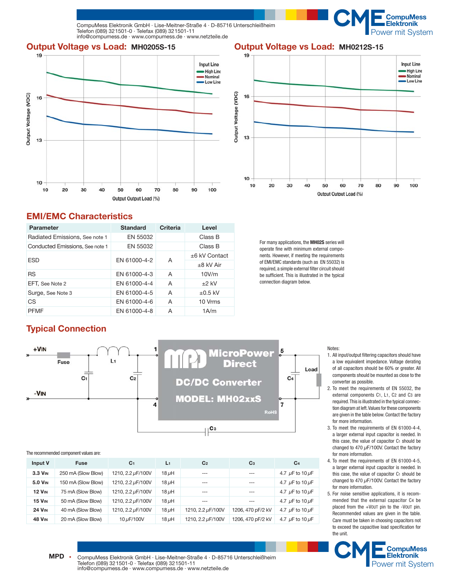

**Output Voltage vs Load: MH0205S-15 Output Voltage vs Load: MH0212S-15**



# **EMI/EMC Characteristics**

| Parameter                       | <b>Standard</b> | Criteria        | Level          |
|---------------------------------|-----------------|-----------------|----------------|
| Radiated Emissions, See note 1  | EN 55032        |                 | Class B        |
| Conducted Emissions, See note 1 | EN 55032        |                 | Class B        |
| <b>ESD</b>                      | EN 61000-4-2    | $±6$ kV Contact |                |
|                                 |                 | A               | $\pm 8$ kV Air |
| <b>RS</b>                       | FN 61000-4-3    | A               | 10V/m          |
| EFT. See Note 2                 | EN 61000-4-4    | A               | $\pm 2$ kV     |
| Surge, See Note 3               | FN 61000-4-5    | A               | $+0.5$ kV      |
| CS                              | EN 61000-4-6    | A               | 10 Vrms        |
| <b>PFMF</b>                     | EN 61000-4-8    | A               | 1A/m           |



**WWW.FEEKtronik<br>Power mit System** 

**CompuMess** 

For many applications, the **MH02S** series will operate fine with minimum external components. However, if meeting the requirements of EMI/EMC standards (such as EN 55032) is required, a simple external filter circuit should be sufficient. This is illustrated in the typical connection diagram below.

# **Typical Connection**



#### Notes:

- 1. All input/output filtering capacitors should have a low equivalent impedance. Voltage derating of all capacitors should be 60% or greater. All components should be mounted as close to the converter as possible.
- 2. To meet the requirements of EN 55032, the external components C1, L1, C2 and C3 are required. This is illustrated in the typical connection diagram at left. Values for these components are given in the table below. Contact the factory for more information.
- 3. To meet the requirements of EN 61000-4-4, a larger external input capacitor is needed. In this case, the value of capacitor C<sub>1</sub> should be changed to 470 *μ*F/100V. Contact the factory for more information.
- 4. To meet the requirements of EN 61000-4-5, a larger external input capacitor is needed. In this case, the value of capacitor C<sub>1</sub> should be changed to 470 *μ*F/100V. Contact the factory for more information.
- 5. For noise sensitive applications, it is recommended that the external capacitor C4 be placed from the +VOUT pin to the -VOUT pin. Recommended values are given in the table. Care must be taken in choosing capacitors not to exceed the capacitive load specification for the unit.



The recommended component values are:

| Input V        | <b>Fuse</b>        | C <sub>1</sub>    | L1         | C <sub>2</sub>    | C <sub>3</sub>    | C <sub>4</sub>            |
|----------------|--------------------|-------------------|------------|-------------------|-------------------|---------------------------|
| $3.3$ $V_{IN}$ | 250 mA (Slow Blow) | 1210, 2.2 µF/100V | $18 \mu H$ | $\frac{1}{2}$     | ---               | 4.7 $\mu$ F to 10 $\mu$ F |
| 5.0 VIN        | 150 mA (Slow Blow) | 1210, 2.2 µF/100V | $18 \mu H$ | $---$             | $---$             | 4.7 $\mu$ F to 10 $\mu$ F |
| <b>12 VIN</b>  | 75 mA (Slow Blow)  | 1210, 2.2 µF/100V | $18 \mu H$ | $---$             | ---               | 4.7 $\mu$ F to 10 $\mu$ F |
| <b>15 VIN</b>  | 50 mA (Slow Blow)  | 1210, 2.2 µF/100V | $18 \mu H$ | $\frac{1}{2}$     | $\frac{1}{2}$     | 4.7 $\mu$ F to 10 $\mu$ F |
| <b>24 VIN</b>  | 40 mA (Slow Blow)  | 1210, 2.2 µF/100V | $18 \mu H$ | 1210, 2.2 µF/100V | 1206, 470 pF/2 kV | 4.7 $\mu$ F to 10 $\mu$ F |
| <b>48 VIN</b>  | 20 mA (Slow Blow)  | 10 µF/100V        | $18 \mu H$ | 1210, 2.2 µF/100V | 1206, 470 pF/2 kV | 4.7 $\mu$ F to 10 $\mu$ F |

MPD · CompuMess Elektronik GmbH · Lise-Meitner-Straße 4 · D-85716 Unterschleißheim Telefon (089) 321501-0 · Telefax (089) 321501-11 Telefon (089) 321501-0 · Telefax (089) 321501-11 Power mit System<br>info@compumess.de · www.compumess.de · www.netzteile.de